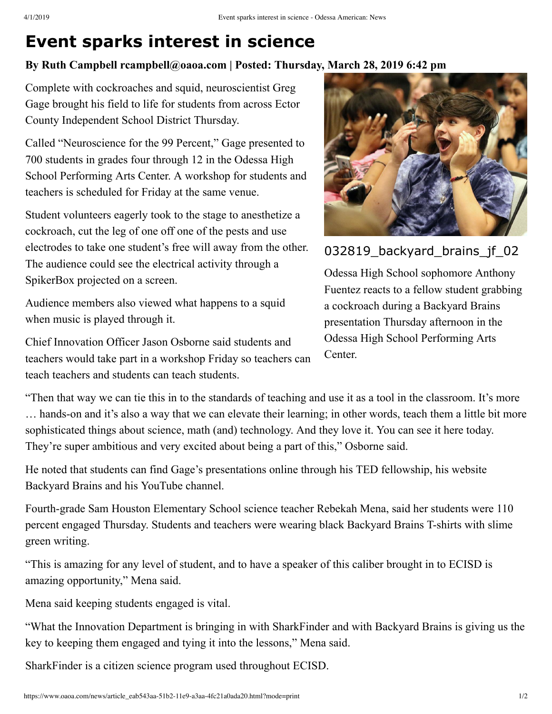## **Event sparks interest in science**

## **By Ruth Campbell rcampbell@oaoa.com | Posted: Thursday, March 28, 2019 6:42 pm**

Complete with cockroaches and squid, neuroscientist Greg Gage brought his field to life for students from across Ector County Independent School District Thursday.

Called "Neuroscience for the 99 Percent," Gage presented to 700 students in grades four through 12 in the Odessa High School Performing Arts Center. A workshop for students and teachers is scheduled for Friday at the same venue.

Student volunteers eagerly took to the stage to anesthetize a cockroach, cut the leg of one off one of the pests and use electrodes to take one student's free will away from the other. The audience could see the electrical activity through a SpikerBox projected on a screen.

Audience members also viewed what happens to a squid when music is played through it.

Chief Innovation Officer Jason Osborne said students and teachers would take part in a workshop Friday so teachers can teach teachers and students can teach students.



032819\_backyard\_brains\_jf\_02

Odessa High School sophomore Anthony Fuentez reacts to a fellow student grabbing a cockroach during a Backyard Brains presentation Thursday afternoon in the Odessa High School Performing Arts Center.

"Then that way we can tie this in to the standards of teaching and use it as a tool in the classroom. It's more ... hands-on and it's also a way that we can elevate their learning; in other words, teach them a little bit more sophisticated things about science, math (and) technology. And they love it. You can see it here today. They're super ambitious and very excited about being a part of this," Osborne said.

He noted that students can find Gage's presentations online through his TED fellowship, his website Backyard Brains and his YouTube channel.

Fourth-grade Sam Houston Elementary School science teacher Rebekah Mena, said her students were 110 percent engaged Thursday. Students and teachers were wearing black Backyard Brains T-shirts with slime green writing.

"This is amazing for any level of student, and to have a speaker of this caliber brought in to ECISD is amazing opportunity," Mena said.

Mena said keeping students engaged is vital.

"What the Innovation Department is bringing in with SharkFinder and with Backyard Brains is giving us the key to keeping them engaged and tying it into the lessons," Mena said.

SharkFinder is a citizen science program used throughout ECISD.